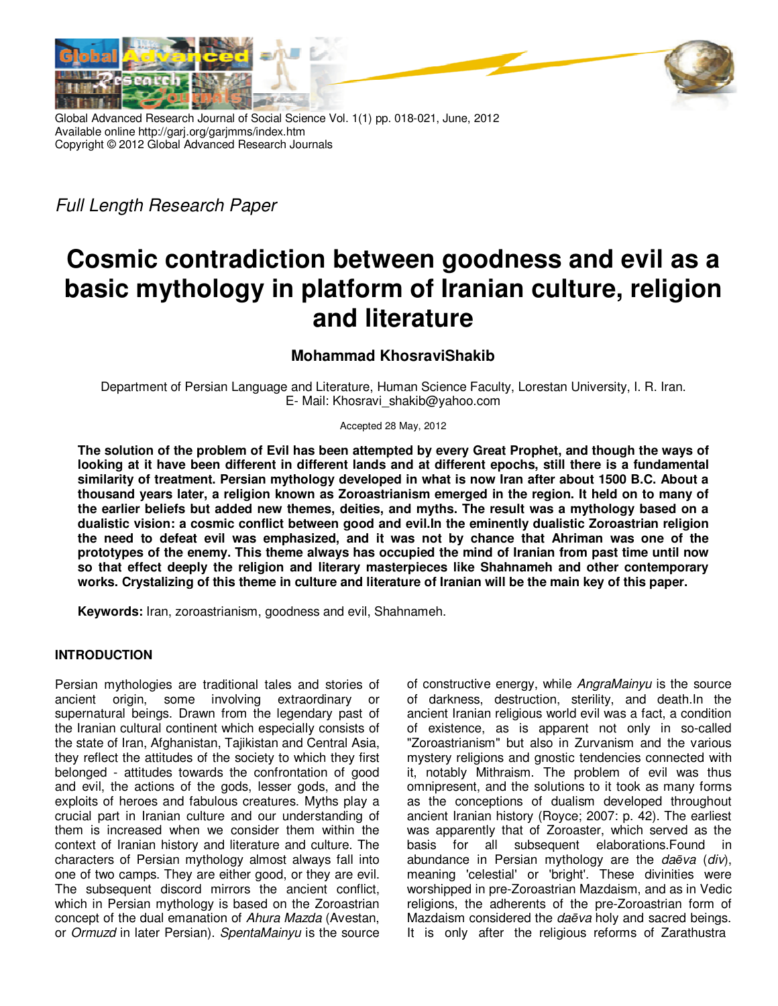

Global Advanced Research Journal of Social Science Vol. 1(1) pp. 018-021, June, 2012 Available online http://garj.org/garjmms/index.htm Copyright © 2012 Global Advanced Research Journals

Full Length Research Paper

# **Cosmic contradiction between goodness and evil as a basic mythology in platform of Iranian culture, religion and literature**

## **Mohammad KhosraviShakib**

Department of Persian Language and Literature, Human Science Faculty, Lorestan University, I. R. Iran. E- Mail: Khosravi\_shakib@yahoo.com

#### Accepted 28 May, 2012

**The solution of the problem of Evil has been attempted by every Great Prophet, and though the ways of looking at it have been different in different lands and at different epochs, still there is a fundamental similarity of treatment. Persian mythology developed in what is now Iran after about 1500 B.C. About a thousand years later, a religion known as Zoroastrianism emerged in the region. It held on to many of the earlier beliefs but added new themes, deities, and myths. The result was a mythology based on a dualistic vision: a cosmic conflict between good and evil.In the eminently dualistic Zoroastrian religion the need to defeat evil was emphasized, and it was not by chance that Ahriman was one of the prototypes of the enemy. This theme always has occupied the mind of Iranian from past time until now so that effect deeply the religion and literary masterpieces like Shahnameh and other contemporary works. Crystalizing of this theme in culture and literature of Iranian will be the main key of this paper.** 

**Keywords:** Iran, zoroastrianism, goodness and evil, Shahnameh.

### **INTRODUCTION**

Persian mythologies are traditional tales and stories of ancient origin, some involving extraordinary or supernatural beings. Drawn from the legendary past of the Iranian cultural continent which especially consists of the state of Iran, Afghanistan, Tajikistan and Central Asia, they reflect the attitudes of the society to which they first belonged - attitudes towards the confrontation of good and evil, the actions of the gods, lesser gods, and the exploits of heroes and fabulous creatures. Myths play a crucial part in Iranian culture and our understanding of them is increased when we consider them within the context of Iranian history and literature and culture. The characters of Persian mythology almost always fall into one of two camps. They are either good, or they are evil. The subsequent discord mirrors the ancient conflict, which in Persian mythology is based on the Zoroastrian concept of the dual emanation of Ahura Mazda (Avestan, or Ormuzd in later Persian). SpentaMainyu is the source of constructive energy, while AngraMainyu is the source of darkness, destruction, sterility, and death.In the ancient Iranian religious world evil was a fact, a condition of existence, as is apparent not only in so-called "Zoroastrianism" but also in Zurvanism and the various mystery religions and gnostic tendencies connected with it, notably Mithraism. The problem of evil was thus omnipresent, and the solutions to it took as many forms as the conceptions of dualism developed throughout ancient Iranian history (Royce; 2007: p. 42). The earliest was apparently that of Zoroaster, which served as the basis for all subsequent elaborations.Found in abundance in Persian mythology are the da*ē*va (div), meaning 'celestial' or 'bright'. These divinities were worshipped in pre-Zoroastrian Mazdaism, and as in Vedic religions, the adherents of the pre-Zoroastrian form of Mazdaism considered the da*ē*va holy and sacred beings. It is only after the religious reforms of Zarathustra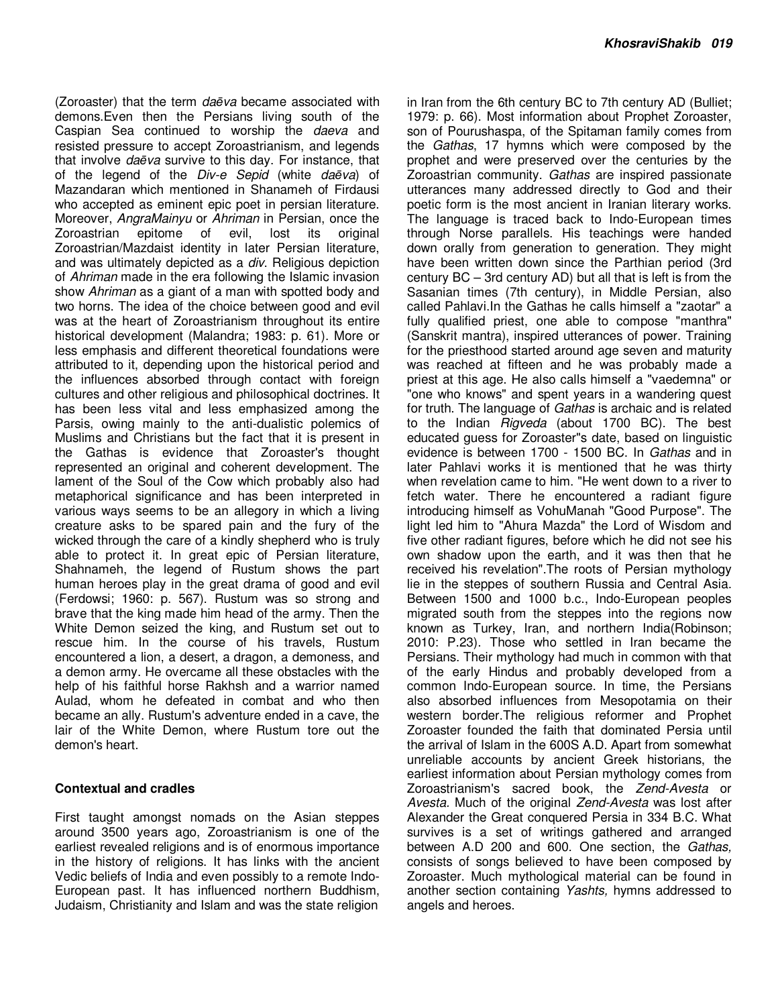(Zoroaster) that the term da*ē*va became associated with demons.Even then the Persians living south of the Caspian Sea continued to worship the daeva and resisted pressure to accept Zoroastrianism, and legends that involve da*ē*va survive to this day. For instance, that of the legend of the Div-e Sepid (white da*ē*va) of Mazandaran which mentioned in Shanameh of Firdausi who accepted as eminent epic poet in persian literature. Moreover, AngraMainyu or Ahriman in Persian, once the Zoroastrian epitome of evil, lost its original Zoroastrian/Mazdaist identity in later Persian literature, and was ultimately depicted as a *div*. Religious depiction of *Ahriman* made in the era following the Islamic invasion show Ahriman as a giant of a man with spotted body and two horns. The idea of the choice between good and evil was at the heart of Zoroastrianism throughout its entire historical development (Malandra; 1983: p. 61). More or less emphasis and different theoretical foundations were attributed to it, depending upon the historical period and the influences absorbed through contact with foreign cultures and other religious and philosophical doctrines. It has been less vital and less emphasized among the Parsis, owing mainly to the anti-dualistic polemics of Muslims and Christians but the fact that it is present in the Gathas is evidence that Zoroaster's thought represented an original and coherent development. The lament of the Soul of the Cow which probably also had metaphorical significance and has been interpreted in various ways seems to be an allegory in which a living creature asks to be spared pain and the fury of the wicked through the care of a kindly shepherd who is truly able to protect it. In great epic of Persian literature, Shahnameh, the legend of Rustum shows the part human heroes play in the great drama of good and evil (Ferdowsi; 1960: p. 567). Rustum was so strong and brave that the king made him head of the army. Then the White Demon seized the king, and Rustum set out to rescue him. In the course of his travels, Rustum encountered a lion, a desert, a dragon, a demoness, and a demon army. He overcame all these obstacles with the help of his faithful horse Rakhsh and a warrior named Aulad, whom he defeated in combat and who then became an ally. Rustum's adventure ended in a cave, the lair of the White Demon, where Rustum tore out the demon's heart.

#### **Contextual and cradles**

First taught amongst nomads on the Asian steppes around 3500 years ago, Zoroastrianism is one of the earliest revealed religions and is of enormous importance in the history of religions. It has links with the ancient Vedic beliefs of India and even possibly to a remote Indo-European past. It has influenced northern Buddhism, Judaism, Christianity and Islam and was the state religion

in Iran from the 6th century BC to 7th century AD (Bulliet; 1979: p. 66). Most information about Prophet Zoroaster, son of Pourushaspa, of the Spitaman family comes from the Gathas, 17 hymns which were composed by the prophet and were preserved over the centuries by the Zoroastrian community. Gathas are inspired passionate utterances many addressed directly to God and their poetic form is the most ancient in Iranian literary works. The language is traced back to Indo-European times through Norse parallels. His teachings were handed down orally from generation to generation. They might have been written down since the Parthian period (3rd century BC – 3rd century AD) but all that is left is from the Sasanian times (7th century), in Middle Persian, also called Pahlavi.In the Gathas he calls himself a "zaotar" a fully qualified priest, one able to compose "manthra" (Sanskrit mantra), inspired utterances of power. Training for the priesthood started around age seven and maturity was reached at fifteen and he was probably made a priest at this age. He also calls himself a "vaedemna" or "one who knows" and spent years in a wandering quest for truth. The language of Gathas is archaic and is related to the Indian Rigveda (about 1700 BC). The best educated guess for Zoroaster"s date, based on linguistic evidence is between 1700 - 1500 BC. In Gathas and in later Pahlavi works it is mentioned that he was thirty when revelation came to him. "He went down to a river to fetch water. There he encountered a radiant figure introducing himself as VohuManah "Good Purpose". The light led him to "Ahura Mazda" the Lord of Wisdom and five other radiant figures, before which he did not see his own shadow upon the earth, and it was then that he received his revelation".The roots of Persian mythology lie in the steppes of southern Russia and Central Asia. Between 1500 and 1000 b.c., Indo-European peoples migrated south from the steppes into the regions now known as Turkey, Iran, and northern India(Robinson; 2010: P.23). Those who settled in Iran became the Persians. Their mythology had much in common with that of the early Hindus and probably developed from a common Indo-European source. In time, the Persians also absorbed influences from Mesopotamia on their western border.The religious reformer and Prophet Zoroaster founded the faith that dominated Persia until the arrival of Islam in the 600S A.D. Apart from somewhat unreliable accounts by ancient Greek historians, the earliest information about Persian mythology comes from Zoroastrianism's sacred book, the Zend-Avesta or Avesta. Much of the original Zend-Avesta was lost after Alexander the Great conquered Persia in 334 B.C. What survives is a set of writings gathered and arranged between A.D 200 and 600. One section, the Gathas, consists of songs believed to have been composed by Zoroaster. Much mythological material can be found in another section containing Yashts, hymns addressed to angels and heroes.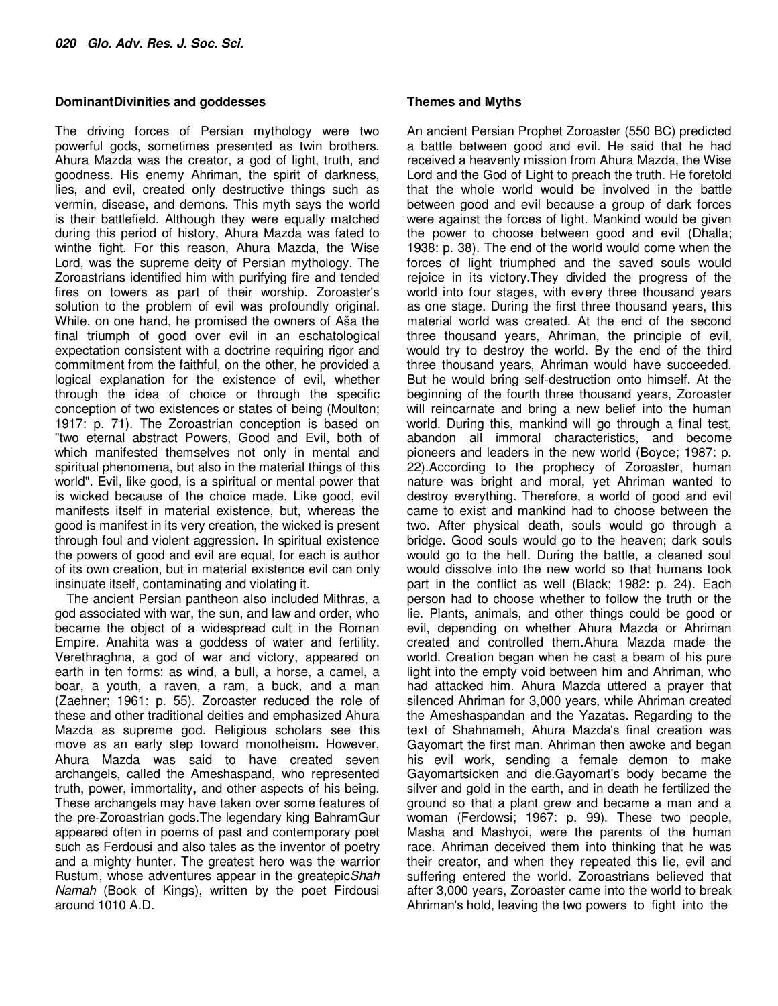#### **DominantDivinities and goddesses**

The driving forces of Persian mythology were two powerful gods, sometimes presented as twin brothers. Ahura Mazda was the creator, a god of light, truth, and goodness. His enemy Ahriman, the spirit of darkness, lies, and evil, created only destructive things such as vermin, disease, and demons. This myth says the world is their battlefield. Although they were equally matched during this period of history, Ahura Mazda was fated to winthe fight. For this reason, Ahura Mazda, the Wise Lord, was the supreme deity of Persian mythology. The Zoroastrians identified him with purifying fire and tended fires on towers as part of their worship. Zoroaster's solution to the problem of evil was profoundly original. While, on one hand, he promised the owners of Aša the final triumph of good over evil in an eschatological expectation consistent with a doctrine requiring rigor and commitment from the faithful, on the other, he provided a logical explanation for the existence of evil, whether through the idea of choice or through the specific conception of two existences or states of being (Moulton; 1917: p. 71). The Zoroastrian conception is based on "two eternal abstract Powers, Good and Evil, both of which manifested themselves not only in mental and spiritual phenomena, but also in the material things of this world". Evil, like good, is a spiritual or mental power that is wicked because of the choice made. Like good, evil manifests itself in material existence, but, whereas the good is manifest in its very creation, the wicked is present through foul and violent aggression. In spiritual existence the powers of good and evil are equal, for each is author of its own creation, but in material existence evil can only insinuate itself, contaminating and violating it.

The ancient Persian pantheon also included Mithras, a god associated with war, the sun, and law and order, who became the object of a widespread cult in the Roman Empire. Anahita was a goddess of water and fertility. Verethraghna, a god of war and victory, appeared on earth in ten forms: as wind, a bull, a horse, a camel, a boar, a youth, a raven, a ram, a buck, and a man (Zaehner; 1961: p. 55). Zoroaster reduced the role of these and other traditional deities and emphasized Ahura Mazda as supreme god. Religious scholars see this move as an early step toward monotheism**.** However, Ahura Mazda was said to have created seven archangels, called the Ameshaspand, who represented truth, power, immortality**,** and other aspects of his being. These archangels may have taken over some features of the pre-Zoroastrian gods.The legendary king BahramGur appeared often in poems of past and contemporary poet such as Ferdousi and also tales as the inventor of poetry and a mighty hunter. The greatest hero was the warrior Rustum, whose adventures appear in the greatepicShah Namah (Book of Kings), written by the poet Firdousi around 1010 A.D.

#### **Themes and Myths**

An ancient Persian Prophet Zoroaster (550 BC) predicted a battle between good and evil. He said that he had received a heavenly mission from Ahura Mazda, the Wise Lord and the God of Light to preach the truth. He foretold that the whole world would be involved in the battle between good and evil because a group of dark forces were against the forces of light. Mankind would be given the power to choose between good and evil (Dhalla; 1938: p. 38). The end of the world would come when the forces of light triumphed and the saved souls would rejoice in its victory.They divided the progress of the world into four stages, with every three thousand years as one stage. During the first three thousand years, this material world was created. At the end of the second three thousand years, Ahriman, the principle of evil, would try to destroy the world. By the end of the third three thousand years, Ahriman would have succeeded. But he would bring self-destruction onto himself. At the beginning of the fourth three thousand years, Zoroaster will reincarnate and bring a new belief into the human world. During this, mankind will go through a final test, abandon all immoral characteristics, and become pioneers and leaders in the new world (Boyce; 1987: p. 22).According to the prophecy of Zoroaster, human nature was bright and moral, yet Ahriman wanted to destroy everything. Therefore, a world of good and evil came to exist and mankind had to choose between the two. After physical death, souls would go through a bridge. Good souls would go to the heaven; dark souls would go to the hell. During the battle, a cleaned soul would dissolve into the new world so that humans took part in the conflict as well (Black; 1982: p. 24). Each person had to choose whether to follow the truth or the lie. Plants, animals, and other things could be good or evil, depending on whether Ahura Mazda or Ahriman created and controlled them.Ahura Mazda made the world. Creation began when he cast a beam of his pure light into the empty void between him and Ahriman, who had attacked him. Ahura Mazda uttered a prayer that silenced Ahriman for 3,000 years, while Ahriman created the Ameshaspandan and the Yazatas. Regarding to the text of Shahnameh, Ahura Mazda's final creation was Gayomart the first man. Ahriman then awoke and began his evil work, sending a female demon to make Gayomartsicken and die.Gayomart's body became the silver and gold in the earth, and in death he fertilized the ground so that a plant grew and became a man and a woman (Ferdowsi; 1967: p. 99). These two people, Masha and Mashyoi, were the parents of the human race. Ahriman deceived them into thinking that he was their creator, and when they repeated this lie, evil and suffering entered the world. Zoroastrians believed that after 3,000 years, Zoroaster came into the world to break Ahriman's hold, leaving the two powers to fight into the